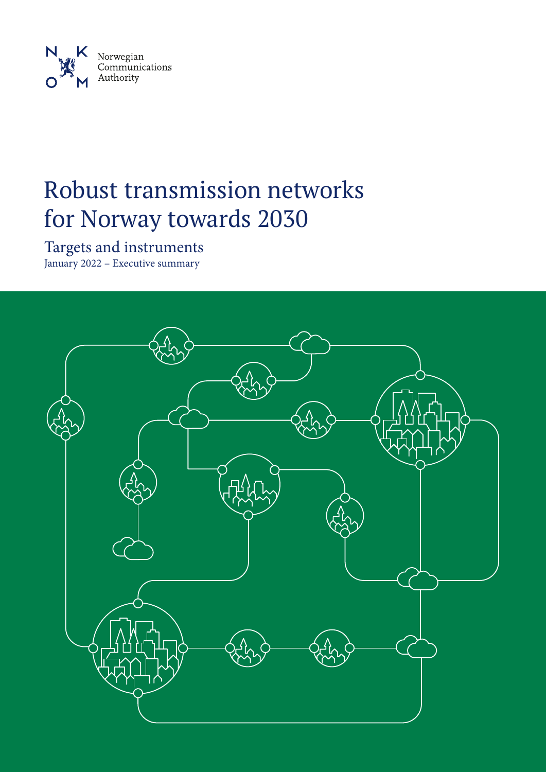

# Robust transmission networks for Norway towards 2030

Targets and instruments January 2022 – Executive summary

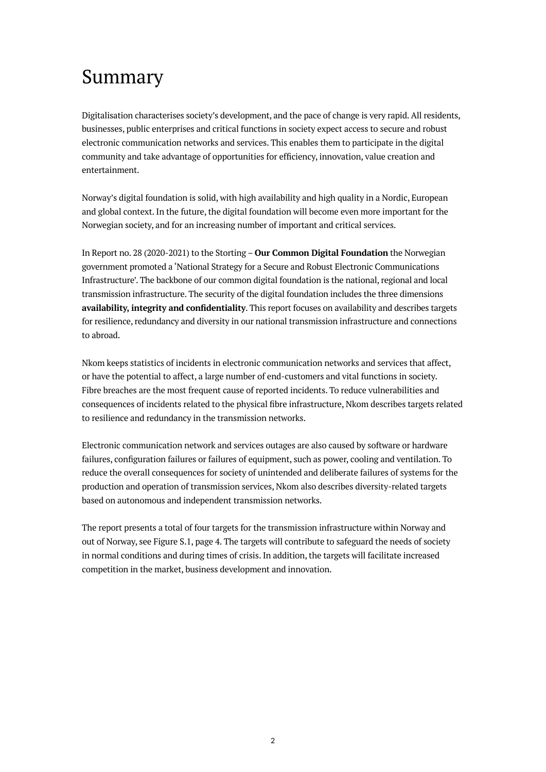## Summary

Digitalisation characterises society's development, and the pace of change is very rapid. All residents, businesses, public enterprises and critical functions in society expect access to secure and robust electronic communication networks and services. This enables them to participate in the digital community and take advantage of opportunities for efficiency, innovation, value creation and entertainment.

Norway's digital foundation is solid, with high availability and high quality in a Nordic, European and global context. In the future, the digital foundation will become even more important for the Norwegian society, and for an increasing number of important and critical services.

In Report no. 28 (2020-2021) to the Storting – **Our Common Digital Foundation** the Norwegian government promoted a 'National Strategy for a Secure and Robust Electronic Communications Infrastructure'. The backbone of our common digital foundation is the national, regional and local transmission infrastructure. The security of the digital foundation includes the three dimensions **availability, integrity and confidentiality**. This report focuses on availability and describes targets for resilience, redundancy and diversity in our national transmission infrastructure and connections to abroad.

Nkom keeps statistics of incidents in electronic communication networks and services that affect, or have the potential to affect, a large number of end-customers and vital functions in society. Fibre breaches are the most frequent cause of reported incidents. To reduce vulnerabilities and consequences of incidents related to the physical fibre infrastructure, Nkom describes targets related to resilience and redundancy in the transmission networks.

Electronic communication network and services outages are also caused by software or hardware failures, configuration failures or failures of equipment, such as power, cooling and ventilation. To reduce the overall consequences for society of unintended and deliberate failures of systems for the production and operation of transmission services, Nkom also describes diversity-related targets based on autonomous and independent transmission networks.

The report presents a total of four targets for the transmission infrastructure within Norway and out of Norway, see Figure S.1, page 4. The targets will contribute to safeguard the needs of society in normal conditions and during times of crisis. In addition, the targets will facilitate increased competition in the market, business development and innovation.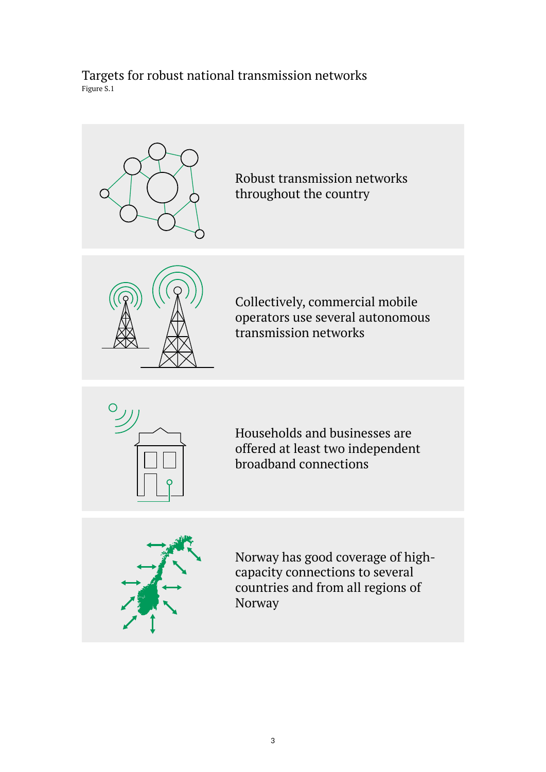### Targets for robust national transmission networks Figure S.1



Robust transmission networks throughout the country







Households and businesses are offered at least two independent broadband connections



Norway has good coverage of highcapacity connections to several countries and from all regions of Norway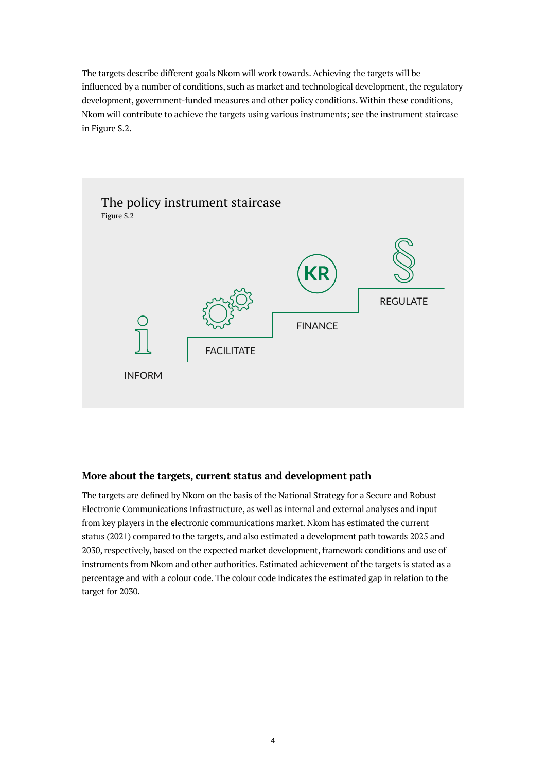The targets describe different goals Nkom will work towards. Achieving the targets will be influenced by a number of conditions, such as market and technological development, the regulatory development, government-funded measures and other policy conditions. Within these conditions, Nkom will contribute to achieve the targets using various instruments; see the instrument staircase in Figure S.2.



### **More about the targets, current status and development path**

The targets are defined by Nkom on the basis of the National Strategy for a Secure and Robust Electronic Communications Infrastructure, as well as internal and external analyses and input from key players in the electronic communications market. Nkom has estimated the current status (2021) compared to the targets, and also estimated a development path towards 2025 and 2030, respectively, based on the expected market development, framework conditions and use of instruments from Nkom and other authorities. Estimated achievement of the targets is stated as a percentage and with a colour code. The colour code indicates the estimated gap in relation to the target for 2030.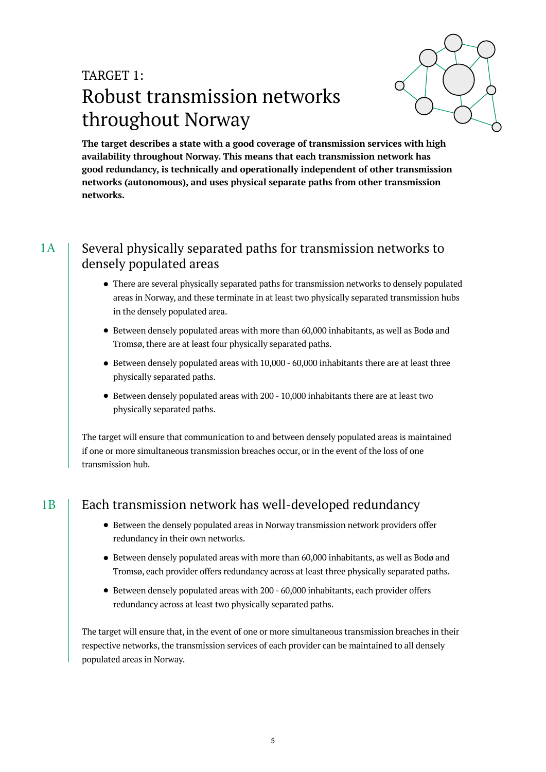## TARGET 1: Robust transmission networks throughout Norway



**The target describes a state with a good coverage of transmission services with high availability throughout Norway. This means that each transmission network has good redundancy, is technically and operationally independent of other transmission networks (autonomous), and uses physical separate paths from other transmission networks.**

#### Several physically separated paths for transmission networks to densely populated areas 1A

- There are several physically separated paths for transmission networks to densely populated areas in Norway, and these terminate in at least two physically separated transmission hubs in the densely populated area.
- Between densely populated areas with more than 60,000 inhabitants, as well as Bodø and Tromsø, there are at least four physically separated paths.
- Between densely populated areas with 10,000 60,000 inhabitants there are at least three physically separated paths.
- Between densely populated areas with 200 10,000 inhabitants there are at least two physically separated paths.

The target will ensure that communication to and between densely populated areas is maintained if one or more simultaneous transmission breaches occur, or in the event of the loss of one transmission hub.

## $1B$  | Each transmission network has well-developed redundancy

- Between the densely populated areas in Norway transmission network providers offer redundancy in their own networks.
- Between densely populated areas with more than 60,000 inhabitants, as well as Bodø and Tromsø, each provider offers redundancy across at least three physically separated paths.
- Between densely populated areas with 200 60,000 inhabitants, each provider offers redundancy across at least two physically separated paths.

The target will ensure that, in the event of one or more simultaneous transmission breaches in their respective networks, the transmission services of each provider can be maintained to all densely populated areas in Norway.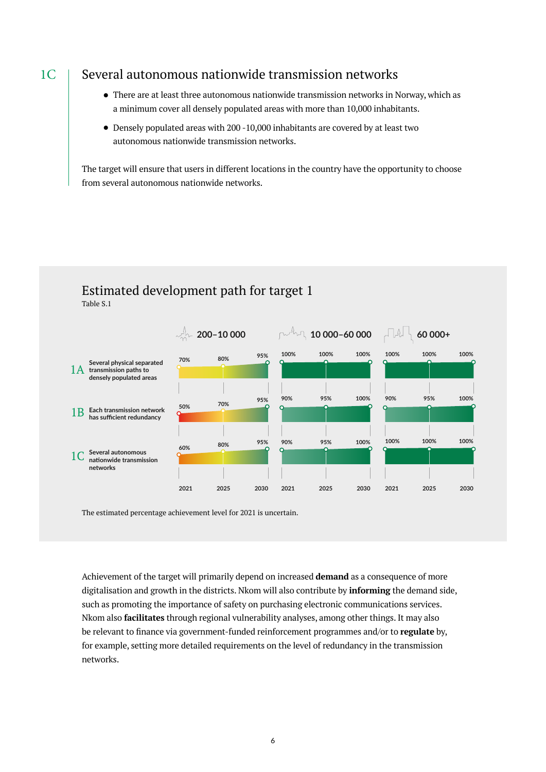### Several autonomous nationwide transmission networks

- There are at least three autonomous nationwide transmission networks in Norway, which as a minimum cover all densely populated areas with more than 10,000 inhabitants.
- Densely populated areas with 200 -10,000 inhabitants are covered by at least two autonomous nationwide transmission networks.

The target will ensure that users in different locations in the country have the opportunity to choose from several autonomous nationwide networks.



### Estimated development path for target 1 Table S.1

The estimated percentage achievement level for 2021 is uncertain.

Achievement of the target will primarily depend on increased **demand** as a consequence of more digitalisation and growth in the districts. Nkom will also contribute by **informing** the demand side, such as promoting the importance of safety on purchasing electronic communications services. Nkom also **facilitates** through regional vulnerability analyses, among other things. It may also be relevant to finance via government-funded reinforcement programmes and/or to **regulate** by, for example, setting more detailed requirements on the level of redundancy in the transmission networks.

#### 1C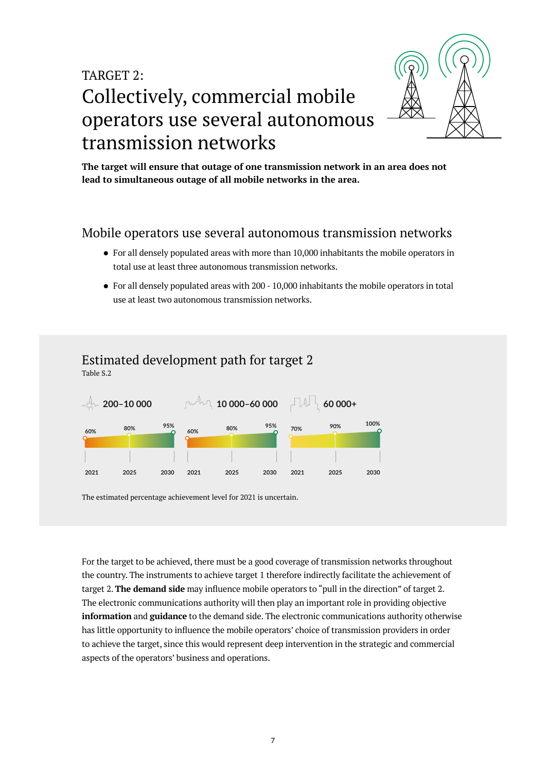## TARGET 2: Collectively, commercial mobile operators use several autonomous transmission networks



**The target will ensure that outage of one transmission network in an area does not lead to simultaneous outage of all mobile networks in the area.**

### Mobile operators use several autonomous transmission networks

- For all densely populated areas with more than 10,000 inhabitants the mobile operators in total use at least three autonomous transmission networks.
- For all densely populated areas with 200 10,000 inhabitants the mobile operators in total use at least two autonomous transmission networks.

## Estimated development path for target 2

Table S.2



The estimated percentage achievement level for 2021 is uncertain.

For the target to be achieved, there must be a good coverage of transmission networks throughout the country. The instruments to achieve target 1 therefore indirectly facilitate the achievement of target 2. **The demand side** may influence mobile operators to "pull in the direction" of target 2. The electronic communications authority will then play an important role in providing objective **information** and **guidance** to the demand side. The electronic communications authority otherwise has little opportunity to influence the mobile operators' choice of transmission providers in order to achieve the target, since this would represent deep intervention in the strategic and commercial aspects of the operators' business and operations.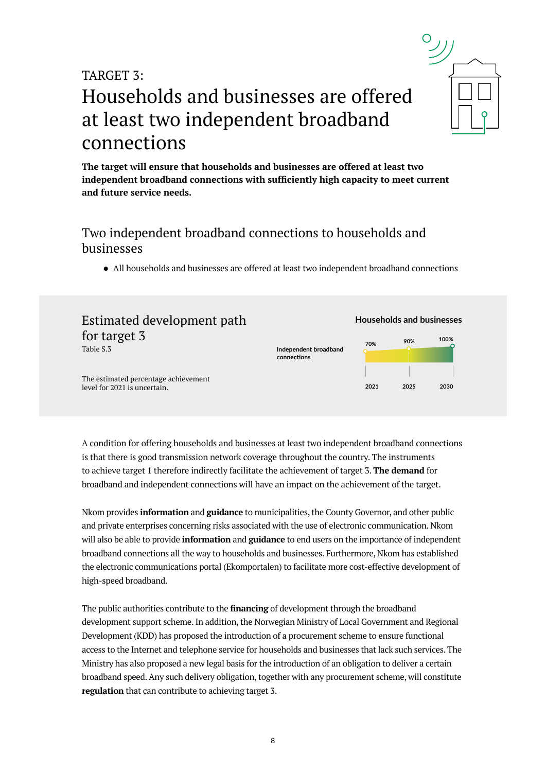#### 8

## TARGET  $3$

## Households and businesses are offered at least two independent broadband connections

**The target will ensure that households and businesses are offered at least two independent broadband connections with sufficiently high capacity to meet current and future service needs.**

## Two independent broadband connections to households and businesses

• All households and businesses are offered at least two independent broadband connections



A condition for offering households and businesses at least two independent broadband connections is that there is good transmission network coverage throughout the country. The instruments to achieve target 1 therefore indirectly facilitate the achievement of target 3. **The demand** for broadband and independent connections will have an impact on the achievement of the target.

Nkom provides **information** and **guidance** to municipalities, the County Governor, and other public and private enterprises concerning risks associated with the use of electronic communication. Nkom will also be able to provide **information** and **guidance** to end users on the importance of independent broadband connections all the way to households and businesses. Furthermore, Nkom has established the electronic communications portal (Ekomportalen) to facilitate more cost-effective development of high-speed broadband.

The public authorities contribute to the **financing** of development through the broadband development support scheme. In addition, the Norwegian Ministry of Local Government and Regional Development (KDD) has proposed the introduction of a procurement scheme to ensure functional access to the Internet and telephone service for households and businesses that lack such services. The Ministry has also proposed a new legal basis for the introduction of an obligation to deliver a certain broadband speed. Any such delivery obligation, together with any procurement scheme, will constitute **regulation** that can contribute to achieving target 3.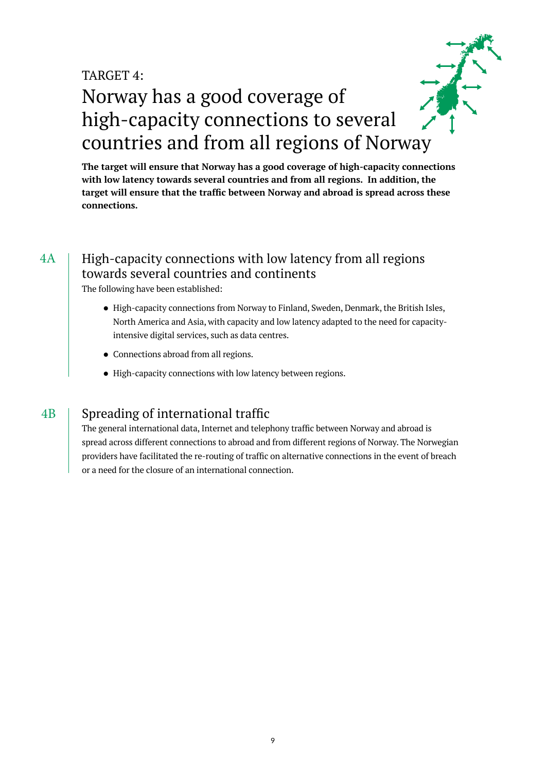## TARGET 4: Norway has a good coverage of high-capacity connections to several countries and from all regions of Norway

**The target will ensure that Norway has a good coverage of high-capacity connections with low latency towards several countries and from all regions. In addition, the target will ensure that the traffic between Norway and abroad is spread across these connections.**

#### High-capacity connections with low latency from all regions towards several countries and continents 4A

The following have been established:

- High-capacity connections from Norway to Finland, Sweden, Denmark, the British Isles, North America and Asia, with capacity and low latency adapted to the need for capacityintensive digital services, such as data centres.
- Connections abroad from all regions.
- High-capacity connections with low latency between regions.

#### Spreading of international traffic 4B

The general international data, Internet and telephony traffic between Norway and abroad is spread across different connections to abroad and from different regions of Norway. The Norwegian providers have facilitated the re-routing of traffic on alternative connections in the event of breach or a need for the closure of an international connection.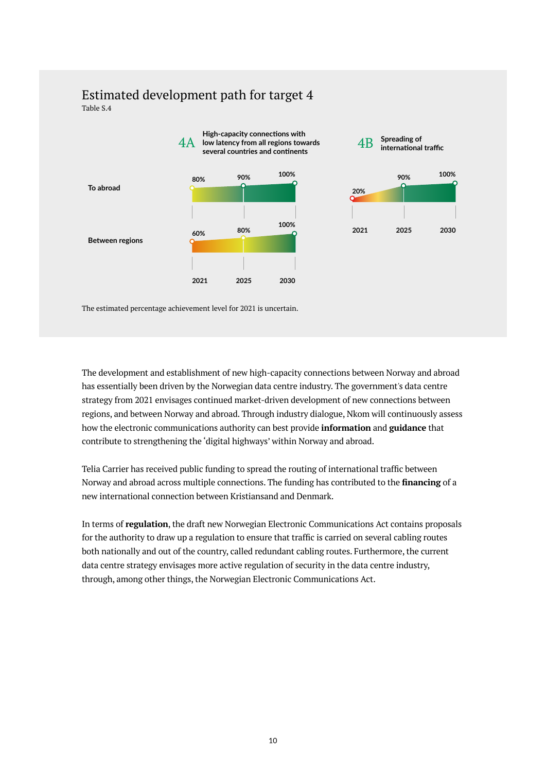### Estimated development path for target 4 Table S.4



The estimated percentage achievement level for 2021 is uncertain.

The development and establishment of new high-capacity connections between Norway and abroad has essentially been driven by the Norwegian data centre industry. The government's data centre strategy from 2021 envisages continued market-driven development of new connections between regions, and between Norway and abroad. Through industry dialogue, Nkom will continuously assess how the electronic communications authority can best provide **information** and **guidance** that contribute to strengthening the 'digital highways' within Norway and abroad.

Telia Carrier has received public funding to spread the routing of international traffic between Norway and abroad across multiple connections. The funding has contributed to the **financing** of a new international connection between Kristiansand and Denmark.

In terms of **regulation**, the draft new Norwegian Electronic Communications Act contains proposals for the authority to draw up a regulation to ensure that traffic is carried on several cabling routes both nationally and out of the country, called redundant cabling routes. Furthermore, the current data centre strategy envisages more active regulation of security in the data centre industry, through, among other things, the Norwegian Electronic Communications Act.